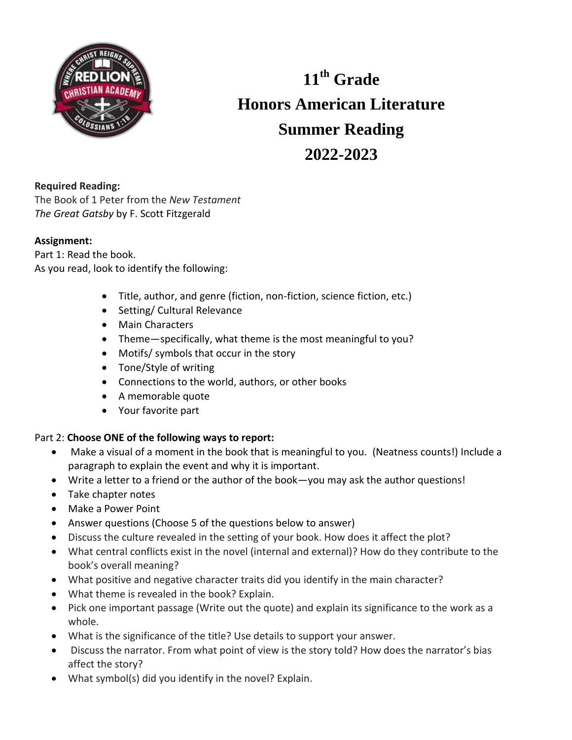

**11 th Grade Honors American Literature Summer Reading 2022-2023**

## **Required Reading:**

The Book of 1 Peter from the *New Testament The Great Gatsby* by F. Scott Fitzgerald

## **Assignment:**

Part 1: Read the book. As you read, look to identify the following:

- Title, author, and genre (fiction, non-fiction, science fiction, etc.)
- Setting/ Cultural Relevance
- Main Characters
- Theme—specifically, what theme is the most meaningful to you?
- Motifs/ symbols that occur in the story
- Tone/Style of writing
- Connections to the world, authors, or other books
- A memorable quote
- Your favorite part

## Part 2: **Choose ONE of the following ways to report:**

- Make a visual of a moment in the book that is meaningful to you. (Neatness counts!) Include a paragraph to explain the event and why it is important.
- Write a letter to a friend or the author of the book—you may ask the author questions!
- Take chapter notes
- Make a Power Point
- Answer questions (Choose 5 of the questions below to answer)
- Discuss the culture revealed in the setting of your book. How does it affect the plot?
- What central conflicts exist in the novel (internal and external)? How do they contribute to the book's overall meaning?
- What positive and negative character traits did you identify in the main character?
- What theme is revealed in the book? Explain.
- Pick one important passage (Write out the quote) and explain its significance to the work as a whole.
- What is the significance of the title? Use details to support your answer.
- Discuss the narrator. From what point of view is the story told? How does the narrator's bias affect the story?
- What symbol(s) did you identify in the novel? Explain.